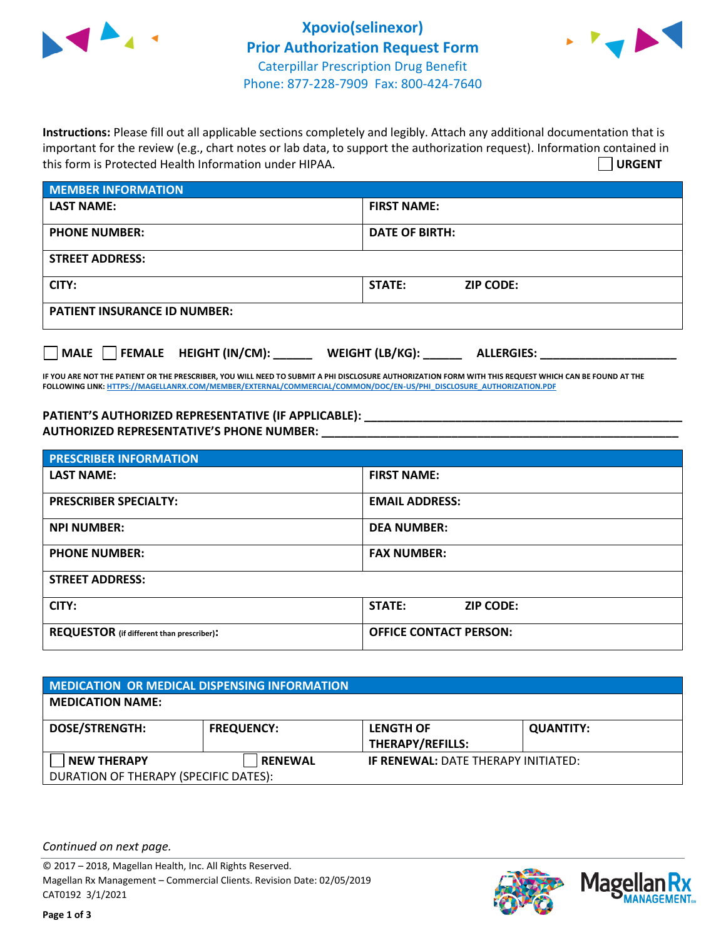



**Instructions:** Please fill out all applicable sections completely and legibly. Attach any additional documentation that is important for the review (e.g., chart notes or lab data, to support the authorization request). Information contained in this form is Protected Health Information under HIPAA. **URGENT**

| <b>MEMBER INFORMATION</b>             |                                      |
|---------------------------------------|--------------------------------------|
| <b>LAST NAME:</b>                     | <b>FIRST NAME:</b>                   |
| <b>PHONE NUMBER:</b>                  | <b>DATE OF BIRTH:</b>                |
| <b>STREET ADDRESS:</b>                |                                      |
| CITY:                                 | STATE:<br><b>ZIP CODE:</b>           |
| <b>PATIENT INSURANCE ID NUMBER:</b>   |                                      |
| FEMALE HEIGHT (IN/CM):<br><b>MALE</b> | WEIGHT (LB/KG):<br><b>ALLERGIES:</b> |

**IF YOU ARE NOT THE PATIENT OR THE PRESCRIBER, YOU WILL NEED TO SUBMIT A PHI DISCLOSURE AUTHORIZATION FORM WITH THIS REQUEST WHICH CAN BE FOUND AT THE FOLLOWING LINK[: HTTPS://MAGELLANRX.COM/MEMBER/EXTERNAL/COMMERCIAL/COMMON/DOC/EN-US/PHI\\_DISCLOSURE\\_AUTHORIZATION.PDF](https://magellanrx.com/member/external/commercial/common/doc/en-us/PHI_Disclosure_Authorization.pdf)**

PATIENT'S AUTHORIZED REPRESENTATIVE (IF APPLICABLE): **\_\_\_\_\_\_\_\_\_\_\_\_\_\_\_\_\_\_\_\_\_\_\_\_\_ AUTHORIZED REPRESENTATIVE'S PHONE NUMBER: \_\_\_\_\_\_\_\_\_\_\_\_\_\_\_\_\_\_\_\_\_\_\_\_\_\_\_\_\_\_\_\_\_\_\_\_\_\_\_\_\_\_\_\_\_\_\_\_\_\_\_\_\_\_\_**

| <b>PRESCRIBER INFORMATION</b>             |                               |
|-------------------------------------------|-------------------------------|
| <b>LAST NAME:</b>                         | <b>FIRST NAME:</b>            |
| <b>PRESCRIBER SPECIALTY:</b>              | <b>EMAIL ADDRESS:</b>         |
| <b>NPI NUMBER:</b>                        | <b>DEA NUMBER:</b>            |
| <b>PHONE NUMBER:</b>                      | <b>FAX NUMBER:</b>            |
| <b>STREET ADDRESS:</b>                    |                               |
| CITY:                                     | STATE:<br><b>ZIP CODE:</b>    |
| REQUESTOR (if different than prescriber): | <b>OFFICE CONTACT PERSON:</b> |

| <b>MEDICATION OR MEDICAL DISPENSING INFORMATION</b> |                   |                                            |                  |  |
|-----------------------------------------------------|-------------------|--------------------------------------------|------------------|--|
| <b>MEDICATION NAME:</b>                             |                   |                                            |                  |  |
| <b>DOSE/STRENGTH:</b>                               | <b>FREQUENCY:</b> | <b>LENGTH OF</b>                           | <b>QUANTITY:</b> |  |
|                                                     |                   | <b>THERAPY/REFILLS:</b>                    |                  |  |
| <b>NEW THERAPY</b>                                  | <b>RENEWAL</b>    | <b>IF RENEWAL: DATE THERAPY INITIATED:</b> |                  |  |
| DURATION OF THERAPY (SPECIFIC DATES):               |                   |                                            |                  |  |

*Continued on next page.*

© 2017 – 2018, Magellan Health, Inc. All Rights Reserved. Magellan Rx Management – Commercial Clients. Revision Date: 02/05/2019 CAT0192 3/1/2021



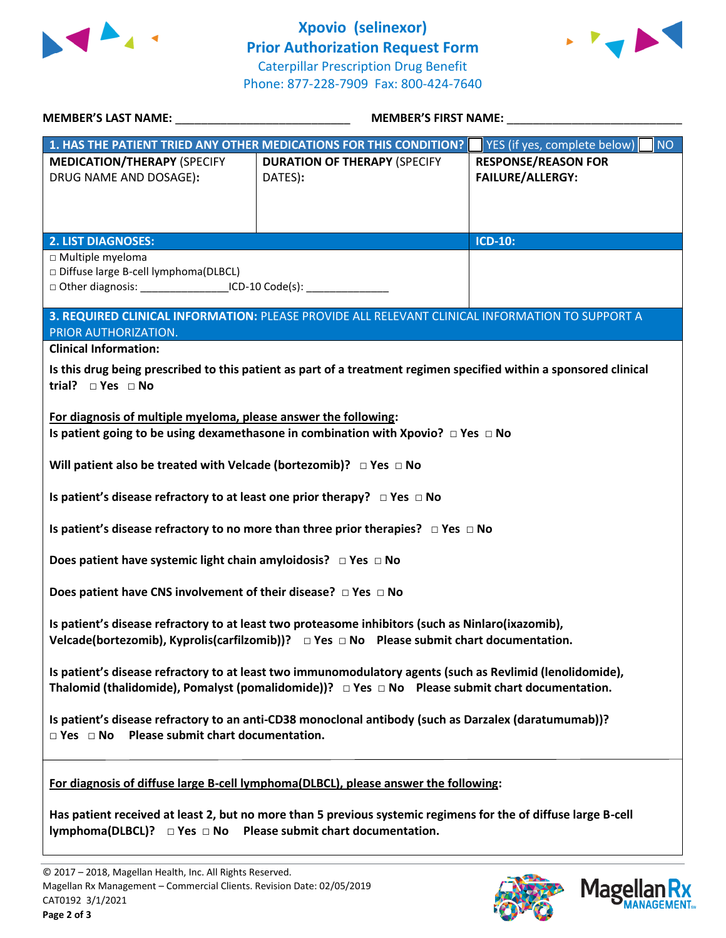



| MEMBER'S LAST NAME: NAME:                                                                                                                                                                                 | <b>MEMBER'S FIRST NAME:</b> NAME:                                                                                  |                                           |  |  |
|-----------------------------------------------------------------------------------------------------------------------------------------------------------------------------------------------------------|--------------------------------------------------------------------------------------------------------------------|-------------------------------------------|--|--|
|                                                                                                                                                                                                           | 1. HAS THE PATIENT TRIED ANY OTHER MEDICATIONS FOR THIS CONDITION?                                                 | YES (if yes, complete below)<br><b>NO</b> |  |  |
| <b>MEDICATION/THERAPY (SPECIFY</b>                                                                                                                                                                        | <b>DURATION OF THERAPY (SPECIFY</b>                                                                                | <b>RESPONSE/REASON FOR</b>                |  |  |
| DRUG NAME AND DOSAGE):                                                                                                                                                                                    | DATES):                                                                                                            | <b>FAILURE/ALLERGY:</b>                   |  |  |
|                                                                                                                                                                                                           |                                                                                                                    |                                           |  |  |
|                                                                                                                                                                                                           |                                                                                                                    |                                           |  |  |
| <b>2. LIST DIAGNOSES:</b>                                                                                                                                                                                 |                                                                                                                    | <b>ICD-10:</b>                            |  |  |
| □ Multiple myeloma                                                                                                                                                                                        |                                                                                                                    |                                           |  |  |
| Diffuse large B-cell lymphoma(DLBCL)                                                                                                                                                                      |                                                                                                                    |                                           |  |  |
| □ Other diagnosis: ____________________ICD-10 Code(s): ________________________                                                                                                                           |                                                                                                                    |                                           |  |  |
|                                                                                                                                                                                                           | 3. REQUIRED CLINICAL INFORMATION: PLEASE PROVIDE ALL RELEVANT CLINICAL INFORMATION TO SUPPORT A                    |                                           |  |  |
| PRIOR AUTHORIZATION.                                                                                                                                                                                      |                                                                                                                    |                                           |  |  |
| <b>Clinical Information:</b>                                                                                                                                                                              |                                                                                                                    |                                           |  |  |
|                                                                                                                                                                                                           | Is this drug being prescribed to this patient as part of a treatment regimen specified within a sponsored clinical |                                           |  |  |
| trial? $\square$ Yes $\square$ No                                                                                                                                                                         |                                                                                                                    |                                           |  |  |
|                                                                                                                                                                                                           |                                                                                                                    |                                           |  |  |
| For diagnosis of multiple myeloma, please answer the following:                                                                                                                                           |                                                                                                                    |                                           |  |  |
|                                                                                                                                                                                                           | Is patient going to be using dexamethasone in combination with Xpovio? $\Box$ Yes $\Box$ No                        |                                           |  |  |
| Will patient also be treated with Velcade (bortezomib)? $\Box$ Yes $\Box$ No                                                                                                                              |                                                                                                                    |                                           |  |  |
| Is patient's disease refractory to at least one prior therapy? $\Box$ Yes $\Box$ No                                                                                                                       |                                                                                                                    |                                           |  |  |
| Is patient's disease refractory to no more than three prior therapies? $\Box$ Yes $\Box$ No                                                                                                               |                                                                                                                    |                                           |  |  |
| Does patient have systemic light chain amyloidosis? $\Box$ Yes $\Box$ No                                                                                                                                  |                                                                                                                    |                                           |  |  |
| Does patient have CNS involvement of their disease? $\Box$ Yes $\Box$ No                                                                                                                                  |                                                                                                                    |                                           |  |  |
| Is patient's disease refractory to at least two proteasome inhibitors (such as Ninlaro(ixazomib),<br>Velcade(bortezomib), Kyprolis(carfilzomib))? $\Box$ Yes $\Box$ No Please submit chart documentation. |                                                                                                                    |                                           |  |  |
|                                                                                                                                                                                                           |                                                                                                                    |                                           |  |  |
|                                                                                                                                                                                                           | Is patient's disease refractory to at least two immunomodulatory agents (such as Revlimid (lenolidomide),          |                                           |  |  |
|                                                                                                                                                                                                           | Thalomid (thalidomide), Pomalyst (pomalidomide))? $\Box$ Yes $\Box$ No Please submit chart documentation.          |                                           |  |  |
| Is patient's disease refractory to an anti-CD38 monoclonal antibody (such as Darzalex (daratumumab))?<br>$\Box$ Yes $\Box$ No Please submit chart documentation.                                          |                                                                                                                    |                                           |  |  |
|                                                                                                                                                                                                           |                                                                                                                    |                                           |  |  |
|                                                                                                                                                                                                           | For diagnosis of diffuse large B-cell lymphoma(DLBCL), please answer the following:                                |                                           |  |  |
| Has patient received at least 2, but no more than 5 previous systemic regimens for the of diffuse large B-cell<br>lymphoma(DLBCL)? $\Box$ Yes $\Box$ No Please submit chart documentation.                |                                                                                                                    |                                           |  |  |
|                                                                                                                                                                                                           |                                                                                                                    |                                           |  |  |



Magellan Rx

**MANAGEMENT**.